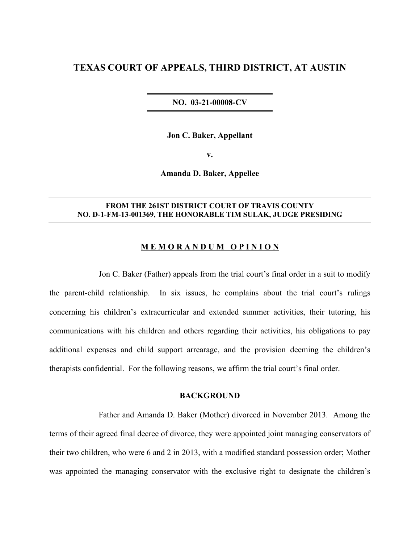# **TEXAS COURT OF APPEALS, THIRD DISTRICT, AT AUSTIN**

**NO. 03-21-00008-CV**

**Jon C. Baker, Appellant** 

**v.** 

**Amanda D. Baker, Appellee**

### **FROM THE 261ST DISTRICT COURT OF TRAVIS COUNTY NO. D-1-FM-13-001369, THE HONORABLE TIM SULAK, JUDGE PRESIDING**

### **M E M O R A N D U M O P I N I O N**

 Jon C. Baker (Father) appeals from the trial court's final order in a suit to modify the parent-child relationship. In six issues, he complains about the trial court's rulings concerning his children's extracurricular and extended summer activities, their tutoring, his communications with his children and others regarding their activities, his obligations to pay additional expenses and child support arrearage, and the provision deeming the children's therapists confidential. For the following reasons, we affirm the trial court's final order.

# **BACKGROUND**

 Father and Amanda D. Baker (Mother) divorced in November 2013. Among the terms of their agreed final decree of divorce, they were appointed joint managing conservators of their two children, who were 6 and 2 in 2013, with a modified standard possession order; Mother was appointed the managing conservator with the exclusive right to designate the children's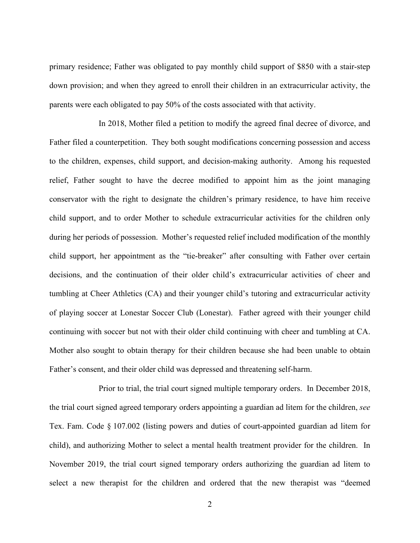primary residence; Father was obligated to pay monthly child support of \$850 with a stair-step down provision; and when they agreed to enroll their children in an extracurricular activity, the parents were each obligated to pay 50% of the costs associated with that activity.

In 2018, Mother filed a petition to modify the agreed final decree of divorce, and Father filed a counterpetition. They both sought modifications concerning possession and access to the children, expenses, child support, and decision-making authority. Among his requested relief, Father sought to have the decree modified to appoint him as the joint managing conservator with the right to designate the children's primary residence, to have him receive child support, and to order Mother to schedule extracurricular activities for the children only during her periods of possession. Mother's requested relief included modification of the monthly child support, her appointment as the "tie-breaker" after consulting with Father over certain decisions, and the continuation of their older child's extracurricular activities of cheer and tumbling at Cheer Athletics (CA) and their younger child's tutoring and extracurricular activity of playing soccer at Lonestar Soccer Club (Lonestar). Father agreed with their younger child continuing with soccer but not with their older child continuing with cheer and tumbling at CA. Mother also sought to obtain therapy for their children because she had been unable to obtain Father's consent, and their older child was depressed and threatening self-harm.

Prior to trial, the trial court signed multiple temporary orders. In December 2018, the trial court signed agreed temporary orders appointing a guardian ad litem for the children, *see* Tex. Fam. Code § 107.002 (listing powers and duties of court-appointed guardian ad litem for child), and authorizing Mother to select a mental health treatment provider for the children. In November 2019, the trial court signed temporary orders authorizing the guardian ad litem to select a new therapist for the children and ordered that the new therapist was "deemed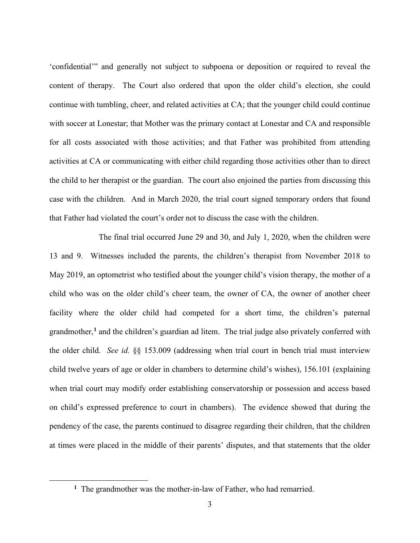'confidential'" and generally not subject to subpoena or deposition or required to reveal the content of therapy. The Court also ordered that upon the older child's election, she could continue with tumbling, cheer, and related activities at CA; that the younger child could continue with soccer at Lonestar; that Mother was the primary contact at Lonestar and CA and responsible for all costs associated with those activities; and that Father was prohibited from attending activities at CA or communicating with either child regarding those activities other than to direct the child to her therapist or the guardian. The court also enjoined the parties from discussing this case with the children. And in March 2020, the trial court signed temporary orders that found that Father had violated the court's order not to discuss the case with the children.

The final trial occurred June 29 and 30, and July 1, 2020, when the children were 13 and 9. Witnesses included the parents, the children's therapist from November 2018 to May 2019, an optometrist who testified about the younger child's vision therapy, the mother of a child who was on the older child's cheer team, the owner of CA, the owner of another cheer facility where the older child had competed for a short time, the children's paternal grandmother, **[1](#page-2-0)** and the children's guardian ad litem. The trial judge also privately conferred with the older child. *See id.* §§ 153.009 (addressing when trial court in bench trial must interview child twelve years of age or older in chambers to determine child's wishes), 156.101 (explaining when trial court may modify order establishing conservatorship or possession and access based on child's expressed preference to court in chambers). The evidence showed that during the pendency of the case, the parents continued to disagree regarding their children, that the children at times were placed in the middle of their parents' disputes, and that statements that the older

<span id="page-2-0"></span>**<sup>1</sup>** The grandmother was the mother-in-law of Father, who had remarried.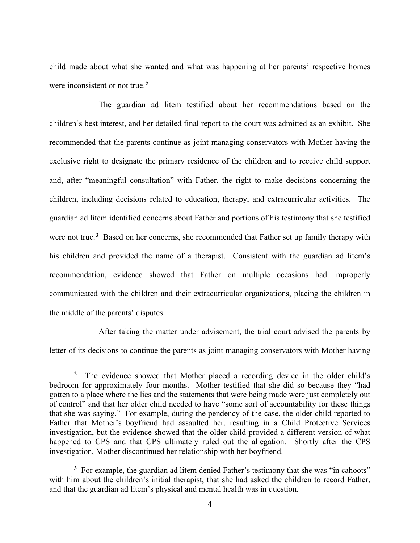child made about what she wanted and what was happening at her parents' respective homes were inconsistent or not true. **[2](#page-3-0)**

The guardian ad litem testified about her recommendations based on the children's best interest, and her detailed final report to the court was admitted as an exhibit. She recommended that the parents continue as joint managing conservators with Mother having the exclusive right to designate the primary residence of the children and to receive child support and, after "meaningful consultation" with Father, the right to make decisions concerning the children, including decisions related to education, therapy, and extracurricular activities. The guardian ad litem identified concerns about Father and portions of his testimony that she testified were not true. **[3](#page-3-1)** Based on her concerns, she recommended that Father set up family therapy with his children and provided the name of a therapist. Consistent with the guardian ad litem's recommendation, evidence showed that Father on multiple occasions had improperly communicated with the children and their extracurricular organizations, placing the children in the middle of the parents' disputes.

After taking the matter under advisement, the trial court advised the parents by letter of its decisions to continue the parents as joint managing conservators with Mother having

<span id="page-3-0"></span>**<sup>2</sup>** The evidence showed that Mother placed a recording device in the older child's bedroom for approximately four months. Mother testified that she did so because they "had gotten to a place where the lies and the statements that were being made were just completely out of control" and that her older child needed to have "some sort of accountability for these things that she was saying." For example, during the pendency of the case, the older child reported to Father that Mother's boyfriend had assaulted her, resulting in a Child Protective Services investigation, but the evidence showed that the older child provided a different version of what happened to CPS and that CPS ultimately ruled out the allegation. Shortly after the CPS investigation, Mother discontinued her relationship with her boyfriend.

<span id="page-3-1"></span><sup>&</sup>lt;sup>3</sup> For example, the guardian ad litem denied Father's testimony that she was "in cahoots" with him about the children's initial therapist, that she had asked the children to record Father, and that the guardian ad litem's physical and mental health was in question.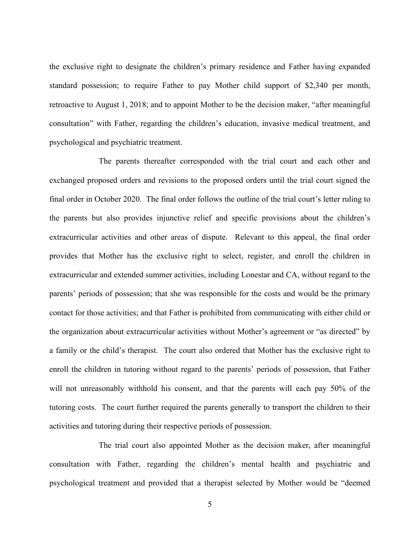the exclusive right to designate the children's primary residence and Father having expanded standard possession; to require Father to pay Mother child support of \$2,340 per month, retroactive to August 1, 2018; and to appoint Mother to be the decision maker, "after meaningful consultation" with Father, regarding the children's education, invasive medical treatment, and psychological and psychiatric treatment.

The parents thereafter corresponded with the trial court and each other and exchanged proposed orders and revisions to the proposed orders until the trial court signed the final order in October 2020. The final order follows the outline of the trial court's letter ruling to the parents but also provides injunctive relief and specific provisions about the children's extracurricular activities and other areas of dispute. Relevant to this appeal, the final order provides that Mother has the exclusive right to select, register, and enroll the children in extracurricular and extended summer activities, including Lonestar and CA, without regard to the parents' periods of possession; that she was responsible for the costs and would be the primary contact for those activities; and that Father is prohibited from communicating with either child or the organization about extracurricular activities without Mother's agreement or "as directed" by a family or the child's therapist. The court also ordered that Mother has the exclusive right to enroll the children in tutoring without regard to the parents' periods of possession, that Father will not unreasonably withhold his consent, and that the parents will each pay 50% of the tutoring costs. The court further required the parents generally to transport the children to their activities and tutoring during their respective periods of possession.

The trial court also appointed Mother as the decision maker, after meaningful consultation with Father, regarding the children's mental health and psychiatric and psychological treatment and provided that a therapist selected by Mother would be "deemed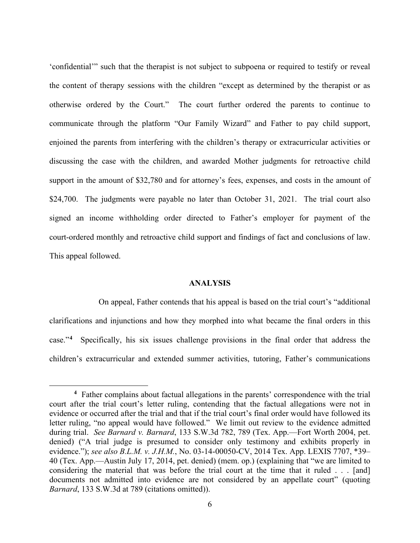'confidential'" such that the therapist is not subject to subpoena or required to testify or reveal the content of therapy sessions with the children "except as determined by the therapist or as otherwise ordered by the Court." The court further ordered the parents to continue to communicate through the platform "Our Family Wizard" and Father to pay child support, enjoined the parents from interfering with the children's therapy or extracurricular activities or discussing the case with the children, and awarded Mother judgments for retroactive child support in the amount of \$32,780 and for attorney's fees, expenses, and costs in the amount of \$24,700. The judgments were payable no later than October 31, 2021. The trial court also signed an income withholding order directed to Father's employer for payment of the court-ordered monthly and retroactive child support and findings of fact and conclusions of law. This appeal followed.

### **ANALYSIS**

On appeal, Father contends that his appeal is based on the trial court's "additional clarifications and injunctions and how they morphed into what became the final orders in this case."**[4](#page-5-0)** Specifically, his six issues challenge provisions in the final order that address the children's extracurricular and extended summer activities, tutoring, Father's communications

<span id="page-5-0"></span>**<sup>4</sup>** Father complains about factual allegations in the parents' correspondence with the trial court after the trial court's letter ruling, contending that the factual allegations were not in evidence or occurred after the trial and that if the trial court's final order would have followed its letter ruling, "no appeal would have followed." We limit out review to the evidence admitted during trial. *See Barnard v. Barnard*, 133 S.W.3d 782, 789 (Tex. App.—Fort Worth 2004, pet. denied) ("A trial judge is presumed to consider only testimony and exhibits properly in evidence."); *see also B.L.M. v. J.H.M.*, No. 03-14-00050-CV, 2014 Tex. App. LEXIS 7707, \*39– 40 (Tex. App.—Austin July 17, 2014, pet. denied) (mem. op.) (explaining that "we are limited to considering the material that was before the trial court at the time that it ruled . . . [and] documents not admitted into evidence are not considered by an appellate court" (quoting *Barnard*, 133 S.W.3d at 789 (citations omitted)).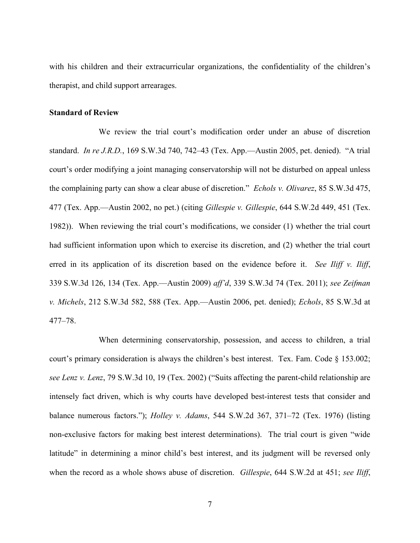with his children and their extracurricular organizations, the confidentiality of the children's therapist, and child support arrearages.

#### **Standard of Review**

We review the trial court's modification order under an abuse of discretion standard. *In re J.R.D.*, 169 S.W.3d 740, 742–43 (Tex. App.—Austin 2005, pet. denied). "A trial court's order modifying a joint managing conservatorship will not be disturbed on appeal unless the complaining party can show a clear abuse of discretion." *Echols v. Olivarez*, 85 S.W.3d 475, 477 (Tex. App.—Austin 2002, no pet.) (citing *Gillespie v. Gillespie*, 644 S.W.2d 449, 451 (Tex. 1982)). When reviewing the trial court's modifications, we consider (1) whether the trial court had sufficient information upon which to exercise its discretion, and (2) whether the trial court erred in its application of its discretion based on the evidence before it. *See Iliff v. Iliff*, 339 S.W.3d 126, 134 (Tex. App.—Austin 2009) *aff'd*, 339 S.W.3d 74 (Tex. 2011); *see Zeifman v. Michels*, 212 S.W.3d 582, 588 (Tex. App.—Austin 2006, pet. denied); *Echols*, 85 S.W.3d at 477–78.

When determining conservatorship, possession, and access to children, a trial court's primary consideration is always the children's best interest. Tex. Fam. Code § 153.002; *see Lenz v. Lenz*, 79 S.W.3d 10, 19 (Tex. 2002) ("Suits affecting the parent-child relationship are intensely fact driven, which is why courts have developed best-interest tests that consider and balance numerous factors."); *Holley v. Adams*, 544 S.W.2d 367, 371–72 (Tex. 1976) (listing non-exclusive factors for making best interest determinations). The trial court is given "wide latitude" in determining a minor child's best interest, and its judgment will be reversed only when the record as a whole shows abuse of discretion. *Gillespie*, 644 S.W.2d at 451; *see Iliff*,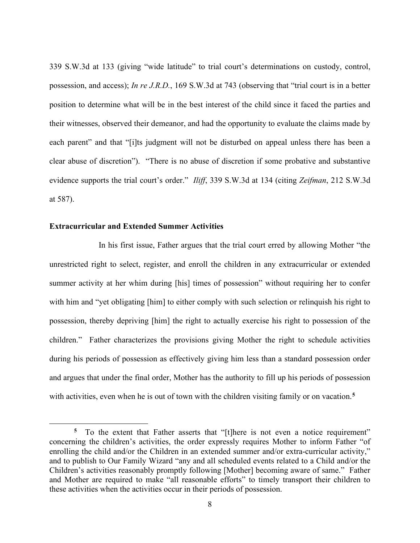339 S.W.3d at 133 (giving "wide latitude" to trial court's determinations on custody, control, possession, and access); *In re J.R.D.*, 169 S.W.3d at 743 (observing that "trial court is in a better position to determine what will be in the best interest of the child since it faced the parties and their witnesses, observed their demeanor, and had the opportunity to evaluate the claims made by each parent" and that "[i]ts judgment will not be disturbed on appeal unless there has been a clear abuse of discretion"). "There is no abuse of discretion if some probative and substantive evidence supports the trial court's order." *Iliff*, 339 S.W.3d at 134 (citing *Zeifman*, 212 S.W.3d at 587).

# **Extracurricular and Extended Summer Activities**

In his first issue, Father argues that the trial court erred by allowing Mother "the unrestricted right to select, register, and enroll the children in any extracurricular or extended summer activity at her whim during [his] times of possession" without requiring her to confer with him and "yet obligating [him] to either comply with such selection or relinquish his right to possession, thereby depriving [him] the right to actually exercise his right to possession of the children." Father characterizes the provisions giving Mother the right to schedule activities during his periods of possession as effectively giving him less than a standard possession order and argues that under the final order, Mother has the authority to fill up his periods of possession with activities, even when he is out of town with the children visiting family or on vacation. **[5](#page-7-0)**

<span id="page-7-0"></span>**<sup>5</sup>** To the extent that Father asserts that "[t]here is not even a notice requirement" concerning the children's activities, the order expressly requires Mother to inform Father "of enrolling the child and/or the Children in an extended summer and/or extra-curricular activity," and to publish to Our Family Wizard "any and all scheduled events related to a Child and/or the Children's activities reasonably promptly following [Mother] becoming aware of same." Father and Mother are required to make "all reasonable efforts" to timely transport their children to these activities when the activities occur in their periods of possession.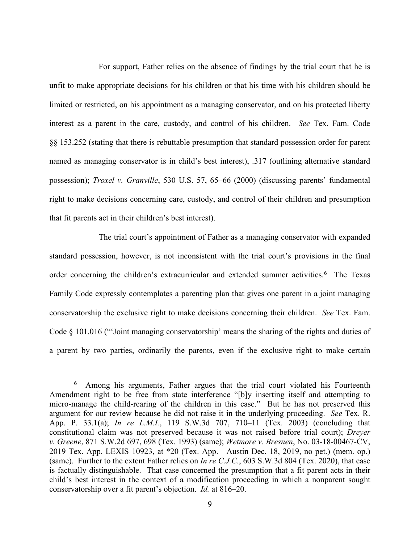For support, Father relies on the absence of findings by the trial court that he is unfit to make appropriate decisions for his children or that his time with his children should be limited or restricted, on his appointment as a managing conservator, and on his protected liberty interest as a parent in the care, custody, and control of his children. *See* Tex. Fam. Code §§ 153.252 (stating that there is rebuttable presumption that standard possession order for parent named as managing conservator is in child's best interest), .317 (outlining alternative standard possession); *Troxel v. Granville*, 530 U.S. 57, 65–66 (2000) (discussing parents' fundamental right to make decisions concerning care, custody, and control of their children and presumption that fit parents act in their children's best interest).

The trial court's appointment of Father as a managing conservator with expanded standard possession, however, is not inconsistent with the trial court's provisions in the final order concerning the children's extracurricular and extended summer activities. **[6](#page-8-0)** The Texas Family Code expressly contemplates a parenting plan that gives one parent in a joint managing conservatorship the exclusive right to make decisions concerning their children. *See* Tex. Fam. Code § 101.016 ("'Joint managing conservatorship' means the sharing of the rights and duties of a parent by two parties, ordinarily the parents, even if the exclusive right to make certain

<span id="page-8-0"></span>**<sup>6</sup>** Among his arguments, Father argues that the trial court violated his Fourteenth Amendment right to be free from state interference "[b]y inserting itself and attempting to micro-manage the child-rearing of the children in this case." But he has not preserved this argument for our review because he did not raise it in the underlying proceeding. *See* Tex. R. App. P. 33.1(a); *In re L.M.I.*, 119 S.W.3d 707, 710–11 (Tex. 2003) (concluding that constitutional claim was not preserved because it was not raised before trial court); *Dreyer v. Greene*, 871 S.W.2d 697, 698 (Tex. 1993) (same); *Wetmore v. Bresnen*, No. 03-18-00467-CV, 2019 Tex. App. LEXIS 10923, at \*20 (Tex. App.—Austin Dec. 18, 2019, no pet.) (mem. op.) (same). Further to the extent Father relies on *In re C.J.C.*, 603 S.W.3d 804 (Tex. 2020), that case is factually distinguishable. That case concerned the presumption that a fit parent acts in their child's best interest in the context of a modification proceeding in which a nonparent sought conservatorship over a fit parent's objection. *Id.* at 816–20.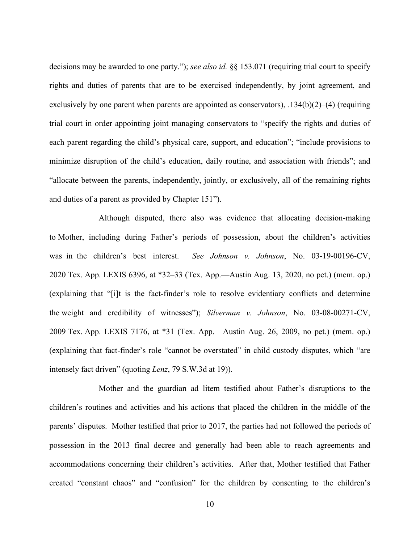decisions may be awarded to one party."); *see also id.* §§ 153.071 (requiring trial court to specify rights and duties of parents that are to be exercised independently, by joint agreement, and exclusively by one parent when parents are appointed as conservators), .134(b)(2)–(4) (requiring trial court in order appointing joint managing conservators to "specify the rights and duties of each parent regarding the child's physical care, support, and education"; "include provisions to minimize disruption of the child's education, daily routine, and association with friends"; and "allocate between the parents, independently, jointly, or exclusively, all of the remaining rights and duties of a parent as provided by Chapter 151").

Although disputed, there also was evidence that allocating decision-making to Mother, including during Father's periods of possession, about the children's activities was in the children's best interest. *See Johnson v. Johnson*, No. 03-19-00196-CV, 2020 Tex. App. LEXIS 6396, at \*32–33 (Tex. App.—Austin Aug. 13, 2020, no pet.) (mem. op.) (explaining that "[i]t is the fact-finder's role to resolve evidentiary conflicts and determine the weight and credibility of witnesses"); *Silverman v. Johnson*, No. 03-08-00271-CV, 2009 Tex. App. LEXIS 7176, at \*31 (Tex. App.—Austin Aug. 26, 2009, no pet.) (mem. op.) (explaining that fact-finder's role "cannot be overstated" in child custody disputes, which "are intensely fact driven" (quoting *Lenz*, 79 S.W.3d at 19)).

Mother and the guardian ad litem testified about Father's disruptions to the children's routines and activities and his actions that placed the children in the middle of the parents' disputes. Mother testified that prior to 2017, the parties had not followed the periods of possession in the 2013 final decree and generally had been able to reach agreements and accommodations concerning their children's activities. After that, Mother testified that Father created "constant chaos" and "confusion" for the children by consenting to the children's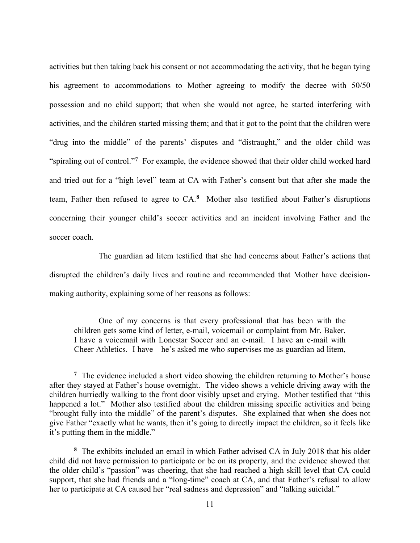activities but then taking back his consent or not accommodating the activity, that he began tying his agreement to accommodations to Mother agreeing to modify the decree with 50/50 possession and no child support; that when she would not agree, he started interfering with activities, and the children started missing them; and that it got to the point that the children were "drug into the middle" of the parents' disputes and "distraught," and the older child was "spiraling out of control."**[7](#page-10-0)** For example, the evidence showed that their older child worked hard and tried out for a "high level" team at CA with Father's consent but that after she made the team, Father then refused to agree to CA. **[8](#page-10-1)** Mother also testified about Father's disruptions concerning their younger child's soccer activities and an incident involving Father and the soccer coach.

The guardian ad litem testified that she had concerns about Father's actions that disrupted the children's daily lives and routine and recommended that Mother have decisionmaking authority, explaining some of her reasons as follows:

One of my concerns is that every professional that has been with the children gets some kind of letter, e-mail, voicemail or complaint from Mr. Baker. I have a voicemail with Lonestar Soccer and an e-mail. I have an e-mail with Cheer Athletics. I have—he's asked me who supervises me as guardian ad litem,

<span id="page-10-0"></span>**<sup>7</sup>** The evidence included a short video showing the children returning to Mother's house after they stayed at Father's house overnight. The video shows a vehicle driving away with the children hurriedly walking to the front door visibly upset and crying. Mother testified that "this happened a lot." Mother also testified about the children missing specific activities and being "brought fully into the middle" of the parent's disputes. She explained that when she does not give Father "exactly what he wants, then it's going to directly impact the children, so it feels like it's putting them in the middle."

<span id="page-10-1"></span>**<sup>8</sup>** The exhibits included an email in which Father advised CA in July 2018 that his older child did not have permission to participate or be on its property, and the evidence showed that the older child's "passion" was cheering, that she had reached a high skill level that CA could support, that she had friends and a "long-time" coach at CA, and that Father's refusal to allow her to participate at CA caused her "real sadness and depression" and "talking suicidal."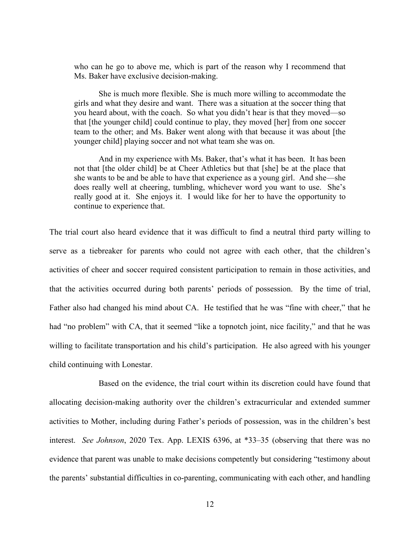who can he go to above me, which is part of the reason why I recommend that Ms. Baker have exclusive decision-making.

She is much more flexible. She is much more willing to accommodate the girls and what they desire and want. There was a situation at the soccer thing that you heard about, with the coach. So what you didn't hear is that they moved—so that [the younger child] could continue to play, they moved [her] from one soccer team to the other; and Ms. Baker went along with that because it was about [the younger child] playing soccer and not what team she was on.

And in my experience with Ms. Baker, that's what it has been. It has been not that [the older child] be at Cheer Athletics but that [she] be at the place that she wants to be and be able to have that experience as a young girl. And she—she does really well at cheering, tumbling, whichever word you want to use. She's really good at it. She enjoys it. I would like for her to have the opportunity to continue to experience that.

The trial court also heard evidence that it was difficult to find a neutral third party willing to serve as a tiebreaker for parents who could not agree with each other, that the children's activities of cheer and soccer required consistent participation to remain in those activities, and that the activities occurred during both parents' periods of possession. By the time of trial, Father also had changed his mind about CA. He testified that he was "fine with cheer," that he had "no problem" with CA, that it seemed "like a topnotch joint, nice facility," and that he was willing to facilitate transportation and his child's participation. He also agreed with his younger child continuing with Lonestar.

Based on the evidence, the trial court within its discretion could have found that allocating decision-making authority over the children's extracurricular and extended summer activities to Mother, including during Father's periods of possession, was in the children's best interest. *See Johnson*, 2020 Tex. App. LEXIS 6396, at \*33–35 (observing that there was no evidence that parent was unable to make decisions competently but considering "testimony about the parents' substantial difficulties in co-parenting, communicating with each other, and handling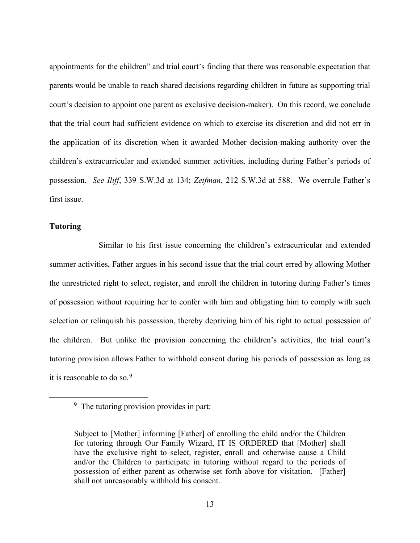appointments for the children" and trial court's finding that there was reasonable expectation that parents would be unable to reach shared decisions regarding children in future as supporting trial court's decision to appoint one parent as exclusive decision-maker). On this record, we conclude that the trial court had sufficient evidence on which to exercise its discretion and did not err in the application of its discretion when it awarded Mother decision-making authority over the children's extracurricular and extended summer activities, including during Father's periods of possession. *See Iliff*, 339 S.W.3d at 134; *Zeifman*, 212 S.W.3d at 588. We overrule Father's first issue.

## **Tutoring**

Similar to his first issue concerning the children's extracurricular and extended summer activities, Father argues in his second issue that the trial court erred by allowing Mother the unrestricted right to select, register, and enroll the children in tutoring during Father's times of possession without requiring her to confer with him and obligating him to comply with such selection or relinquish his possession, thereby depriving him of his right to actual possession of the children. But unlike the provision concerning the children's activities, the trial court's tutoring provision allows Father to withhold consent during his periods of possession as long as it is reasonable to do so. **[9](#page-12-0)**

<span id="page-12-0"></span>**<sup>9</sup>** The tutoring provision provides in part:

Subject to [Mother] informing [Father] of enrolling the child and/or the Children for tutoring through Our Family Wizard, IT IS ORDERED that [Mother] shall have the exclusive right to select, register, enroll and otherwise cause a Child and/or the Children to participate in tutoring without regard to the periods of possession of either parent as otherwise set forth above for visitation. [Father] shall not unreasonably withhold his consent.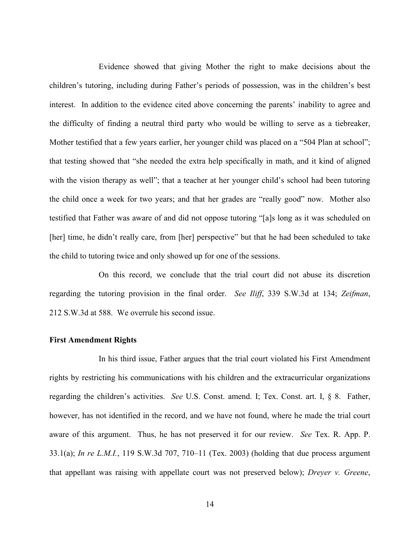Evidence showed that giving Mother the right to make decisions about the children's tutoring, including during Father's periods of possession, was in the children's best interest. In addition to the evidence cited above concerning the parents' inability to agree and the difficulty of finding a neutral third party who would be willing to serve as a tiebreaker, Mother testified that a few years earlier, her younger child was placed on a "504 Plan at school"; that testing showed that "she needed the extra help specifically in math, and it kind of aligned with the vision therapy as well"; that a teacher at her younger child's school had been tutoring the child once a week for two years; and that her grades are "really good" now. Mother also testified that Father was aware of and did not oppose tutoring "[a]s long as it was scheduled on [her] time, he didn't really care, from [her] perspective" but that he had been scheduled to take the child to tutoring twice and only showed up for one of the sessions.

On this record, we conclude that the trial court did not abuse its discretion regarding the tutoring provision in the final order. *See Iliff*, 339 S.W.3d at 134; *Zeifman*, 212 S.W.3d at 588. We overrule his second issue.

#### **First Amendment Rights**

In his third issue, Father argues that the trial court violated his First Amendment rights by restricting his communications with his children and the extracurricular organizations regarding the children's activities. *See* U.S. Const. amend. I; Tex. Const. art. I, § 8. Father, however, has not identified in the record, and we have not found, where he made the trial court aware of this argument. Thus, he has not preserved it for our review. *See* Tex. R. App. P. 33.1(a); *In re L.M.I.*, 119 S.W.3d 707, 710–11 (Tex. 2003) (holding that due process argument that appellant was raising with appellate court was not preserved below); *Dreyer v. Greene*,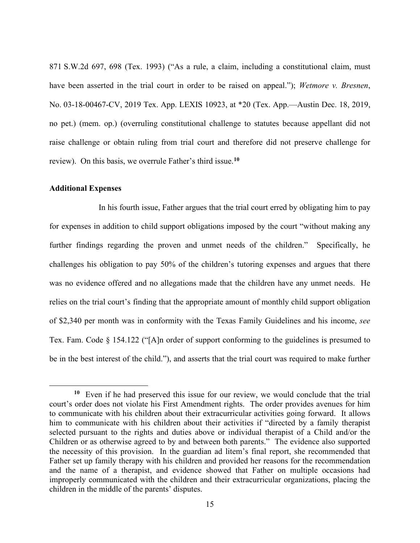871 S.W.2d 697, 698 (Tex. 1993) ("As a rule, a claim, including a constitutional claim, must have been asserted in the trial court in order to be raised on appeal."); *Wetmore v. Bresnen*, No. 03-18-00467-CV, 2019 Tex. App. LEXIS 10923, at \*20 (Tex. App.—Austin Dec. 18, 2019, no pet.) (mem. op.) (overruling constitutional challenge to statutes because appellant did not raise challenge or obtain ruling from trial court and therefore did not preserve challenge for review). On this basis, we overrule Father's third issue.**[10](#page-14-0)**

#### **Additional Expenses**

In his fourth issue, Father argues that the trial court erred by obligating him to pay for expenses in addition to child support obligations imposed by the court "without making any further findings regarding the proven and unmet needs of the children." Specifically, he challenges his obligation to pay 50% of the children's tutoring expenses and argues that there was no evidence offered and no allegations made that the children have any unmet needs. He relies on the trial court's finding that the appropriate amount of monthly child support obligation of \$2,340 per month was in conformity with the Texas Family Guidelines and his income, *see* Tex. Fam. Code § 154.122 ("[A]n order of support conforming to the guidelines is presumed to be in the best interest of the child."), and asserts that the trial court was required to make further

<span id="page-14-0"></span>**<sup>10</sup>** Even if he had preserved this issue for our review, we would conclude that the trial court's order does not violate his First Amendment rights. The order provides avenues for him to communicate with his children about their extracurricular activities going forward. It allows him to communicate with his children about their activities if "directed by a family therapist selected pursuant to the rights and duties above or individual therapist of a Child and/or the Children or as otherwise agreed to by and between both parents." The evidence also supported the necessity of this provision. In the guardian ad litem's final report, she recommended that Father set up family therapy with his children and provided her reasons for the recommendation and the name of a therapist, and evidence showed that Father on multiple occasions had improperly communicated with the children and their extracurricular organizations, placing the children in the middle of the parents' disputes.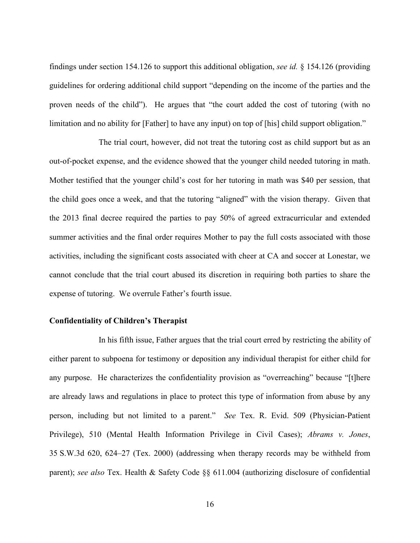findings under section 154.126 to support this additional obligation, *see id.* § 154.126 (providing guidelines for ordering additional child support "depending on the income of the parties and the proven needs of the child"). He argues that "the court added the cost of tutoring (with no limitation and no ability for [Father] to have any input) on top of [his] child support obligation."

The trial court, however, did not treat the tutoring cost as child support but as an out-of-pocket expense, and the evidence showed that the younger child needed tutoring in math. Mother testified that the younger child's cost for her tutoring in math was \$40 per session, that the child goes once a week, and that the tutoring "aligned" with the vision therapy. Given that the 2013 final decree required the parties to pay 50% of agreed extracurricular and extended summer activities and the final order requires Mother to pay the full costs associated with those activities, including the significant costs associated with cheer at CA and soccer at Lonestar, we cannot conclude that the trial court abused its discretion in requiring both parties to share the expense of tutoring. We overrule Father's fourth issue.

#### **Confidentiality of Children's Therapist**

In his fifth issue, Father argues that the trial court erred by restricting the ability of either parent to subpoena for testimony or deposition any individual therapist for either child for any purpose. He characterizes the confidentiality provision as "overreaching" because "[t]here are already laws and regulations in place to protect this type of information from abuse by any person, including but not limited to a parent." *See* Tex. R. Evid. 509 (Physician-Patient Privilege), 510 (Mental Health Information Privilege in Civil Cases); *Abrams v. Jones*, 35 S.W.3d 620, 624–27 (Tex. 2000) (addressing when therapy records may be withheld from parent); *see also* Tex. Health & Safety Code §§ 611.004 (authorizing disclosure of confidential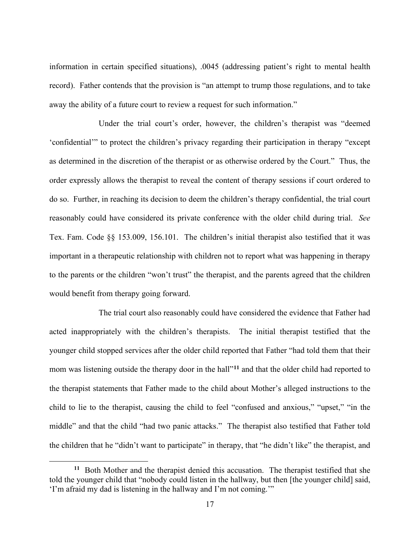information in certain specified situations), .0045 (addressing patient's right to mental health record). Father contends that the provision is "an attempt to trump those regulations, and to take away the ability of a future court to review a request for such information."

Under the trial court's order, however, the children's therapist was "deemed 'confidential'" to protect the children's privacy regarding their participation in therapy "except as determined in the discretion of the therapist or as otherwise ordered by the Court." Thus, the order expressly allows the therapist to reveal the content of therapy sessions if court ordered to do so. Further, in reaching its decision to deem the children's therapy confidential, the trial court reasonably could have considered its private conference with the older child during trial. *See* Tex. Fam. Code §§ 153.009, 156.101. The children's initial therapist also testified that it was important in a therapeutic relationship with children not to report what was happening in therapy to the parents or the children "won't trust" the therapist, and the parents agreed that the children would benefit from therapy going forward.

The trial court also reasonably could have considered the evidence that Father had acted inappropriately with the children's therapists. The initial therapist testified that the younger child stopped services after the older child reported that Father "had told them that their mom was listening outside the therapy door in the hall"**[11](#page-16-0)** and that the older child had reported to the therapist statements that Father made to the child about Mother's alleged instructions to the child to lie to the therapist, causing the child to feel "confused and anxious," "upset," "in the middle" and that the child "had two panic attacks." The therapist also testified that Father told the children that he "didn't want to participate" in therapy, that "he didn't like" the therapist, and

<span id="page-16-0"></span>**<sup>11</sup>** Both Mother and the therapist denied this accusation. The therapist testified that she told the younger child that "nobody could listen in the hallway, but then [the younger child] said, 'I'm afraid my dad is listening in the hallway and I'm not coming.'"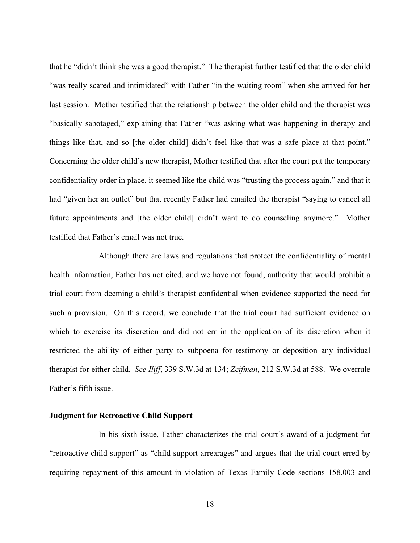that he "didn't think she was a good therapist." The therapist further testified that the older child "was really scared and intimidated" with Father "in the waiting room" when she arrived for her last session. Mother testified that the relationship between the older child and the therapist was "basically sabotaged," explaining that Father "was asking what was happening in therapy and things like that, and so [the older child] didn't feel like that was a safe place at that point." Concerning the older child's new therapist, Mother testified that after the court put the temporary confidentiality order in place, it seemed like the child was "trusting the process again," and that it had "given her an outlet" but that recently Father had emailed the therapist "saying to cancel all future appointments and [the older child] didn't want to do counseling anymore." Mother testified that Father's email was not true.

Although there are laws and regulations that protect the confidentiality of mental health information, Father has not cited, and we have not found, authority that would prohibit a trial court from deeming a child's therapist confidential when evidence supported the need for such a provision. On this record, we conclude that the trial court had sufficient evidence on which to exercise its discretion and did not err in the application of its discretion when it restricted the ability of either party to subpoena for testimony or deposition any individual therapist for either child. *See Iliff*, 339 S.W.3d at 134; *Zeifman*, 212 S.W.3d at 588. We overrule Father's fifth issue.

### **Judgment for Retroactive Child Support**

In his sixth issue, Father characterizes the trial court's award of a judgment for "retroactive child support" as "child support arrearages" and argues that the trial court erred by requiring repayment of this amount in violation of Texas Family Code sections 158.003 and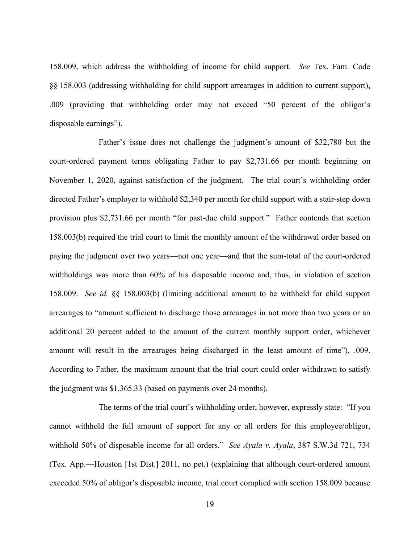158.009, which address the withholding of income for child support. *See* Tex. Fam. Code §§ 158.003 (addressing withholding for child support arrearages in addition to current support), .009 (providing that withholding order may not exceed "50 percent of the obligor's disposable earnings").

Father's issue does not challenge the judgment's amount of \$32,780 but the court-ordered payment terms obligating Father to pay \$2,731.66 per month beginning on November 1, 2020, against satisfaction of the judgment. The trial court's withholding order directed Father's employer to withhold \$2,340 per month for child support with a stair-step down provision plus \$2,731.66 per month "for past-due child support." Father contends that section 158.003(b) required the trial court to limit the monthly amount of the withdrawal order based on paying the judgment over two years—not one year—and that the sum-total of the court-ordered withholdings was more than 60% of his disposable income and, thus, in violation of section 158.009. *See id.* §§ 158.003(b) (limiting additional amount to be withheld for child support arrearages to "amount sufficient to discharge those arrearages in not more than two years or an additional 20 percent added to the amount of the current monthly support order, whichever amount will result in the arrearages being discharged in the least amount of time"), .009. According to Father, the maximum amount that the trial court could order withdrawn to satisfy the judgment was \$1,365.33 (based on payments over 24 months).

The terms of the trial court's withholding order, however, expressly state: "If you cannot withhold the full amount of support for any or all orders for this employee/obligor, withhold 50% of disposable income for all orders." *See Ayala v. Ayala*, 387 S.W.3d 721, 734 (Tex. App.—Houston [1st Dist.] 2011, no pet.) (explaining that although court-ordered amount exceeded 50% of obligor's disposable income, trial court complied with section 158.009 because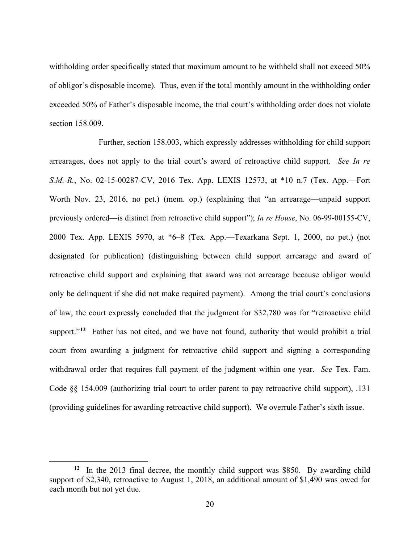withholding order specifically stated that maximum amount to be withheld shall not exceed 50% of obligor's disposable income). Thus, even if the total monthly amount in the withholding order exceeded 50% of Father's disposable income, the trial court's withholding order does not violate section 158.009.

Further, section 158.003, which expressly addresses withholding for child support arrearages, does not apply to the trial court's award of retroactive child support. *See In re S.M.-R.*, No. 02-15-00287-CV, 2016 Tex. App. LEXIS 12573, at \*10 n.7 (Tex. App.—Fort Worth Nov. 23, 2016, no pet.) (mem. op.) (explaining that "an arrearage—unpaid support previously ordered—is distinct from retroactive child support"); *In re House*, No. 06-99-00155-CV, 2000 Tex. App. LEXIS 5970, at \*6–8 (Tex. App.—Texarkana Sept. 1, 2000, no pet.) (not designated for publication) (distinguishing between child support arrearage and award of retroactive child support and explaining that award was not arrearage because obligor would only be delinquent if she did not make required payment). Among the trial court's conclusions of law, the court expressly concluded that the judgment for \$32,780 was for "retroactive child support."<sup>[12](#page-19-0)</sup> Father has not cited, and we have not found, authority that would prohibit a trial court from awarding a judgment for retroactive child support and signing a corresponding withdrawal order that requires full payment of the judgment within one year. *See* Tex. Fam. Code §§ 154.009 (authorizing trial court to order parent to pay retroactive child support), .131 (providing guidelines for awarding retroactive child support). We overrule Father's sixth issue.

<span id="page-19-0"></span>**<sup>12</sup>** In the 2013 final decree, the monthly child support was \$850. By awarding child support of \$2,340, retroactive to August 1, 2018, an additional amount of \$1,490 was owed for each month but not yet due.